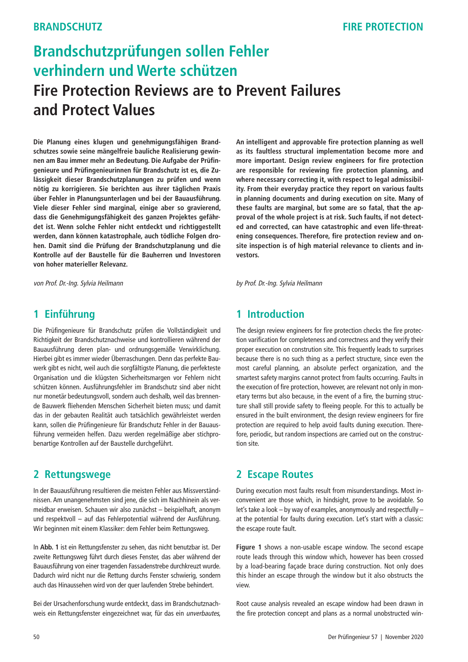# **Brandschutzprüfungen sollen Fehler verhindern und Werte schützen Fire Protection Reviews are to Prevent Failures and Protect Values**

**Die Planung eines klugen und genehmigungsfähigen Brandschutzes sowie seine mängelfreie bauliche Realisierung gewinnen am Bau immer mehr an Bedeutung. Die Aufgabe der Prüfingenieure und Prüfingenieurinnen für Brandschutz ist es, die Zulässigkeit dieser Brandschutzplanungen zu prüfen und wenn nötig zu korrigieren. Sie berichten aus ihrer täglichen Praxis über Fehler in Planungsunterlagen und bei der Bauausführung. Viele dieser Fehler sind marginal, einige aber so gravierend, dass die Genehmigungsfähigkeit des ganzen Projektes gefährdet ist. Wenn solche Fehler nicht entdeckt und richtiggestellt werden, dann können katastrophale, auch tödliche Folgen drohen. Damit sind die Prüfung der Brandschutzplanung und die Kontrolle auf der Baustelle für die Bauherren und Investoren von hoher materieller Relevanz.**

von Prof. Dr.-Ing. Sylvia Heilmann

### **1 Einführung**

Die Prüfingenieure für Brandschutz prüfen die Vollständigkeit und Richtigkeit der Brandschutznachweise und kontrollieren während der Bauausführung deren plan- und ordnungsgemäße Verwirklichung. Hierbei gibt es immer wieder Überraschungen. Denn das perfekte Bauwerk gibt es nicht, weil auch die sorgfältigste Planung, die perfekteste Organisation und die klügsten Sicherheitsmargen vor Fehlern nicht schützen können. Ausführungsfehler im Brandschutz sind aber nicht nur monetär bedeutungsvoll, sondern auch deshalb, weil das brennende Bauwerk fliehenden Menschen Sicherheit bieten muss; und damit das in der gebauten Realität auch tatsächlich gewährleistet werden kann, sollen die Prüfingenieure für Brandschutz Fehler in der Bauausführung vermeiden helfen. Dazu werden regelmäßige aber stichprobenartige Kontrollen auf der Baustelle durchgeführt.

### **2 Rettungswege**

In der Bauausführung resultieren die meisten Fehler aus Missverständnissen. Am unangenehmsten sind jene, die sich im Nachhinein als vermeidbar erweisen. Schauen wir also zunächst – beispielhaft, anonym und respektvoll – auf das Fehlerpotential während der Ausführung. Wir beginnen mit einem Klassiker: dem Fehler beim Rettungsweg.

In **Abb. 1** ist ein Rettungsfenster zu sehen, das nicht benutzbar ist. Der zweite Rettungsweg führt durch dieses Fenster, das aber während der Bauausführung von einer tragenden Fassadenstrebe durchkreuzt wurde. Dadurch wird nicht nur die Rettung durchs Fenster schwierig, sondern auch das Hinaussehen wird von der quer laufenden Strebe behindert.

Bei der Ursachenforschung wurde entdeckt, dass im Brandschutznachweis ein Rettungsfenster eingezeichnet war, für das ein unverbautes, **An intelligent and approvable fire protection planning as well as its faultless structural implementation become more and more important. Design review engineers for fire protection are responsible for reviewing fire protection planning, and where necessary correcting it, with respect to legal admissibility. From their everyday practice they report on various faults in planning documents and during execution on site. Many of these faults are marginal, but some are so fatal, that the approval of the whole project is at risk. Such faults, if not detected and corrected, can have catastrophic and even life-threatening consequences. Therefore, fire protection review and onsite inspection is of high material relevance to clients and investors.**

by Prof. Dr.-Ing. Sylvia Heilmann

# **1 Introduction**

The design review engineers for fire protection checks the fire protection varification for completeness and correctness and they verify their proper execution on constrution site. This frequently leads to surprises because there is no such thing as a perfect structure, since even the most careful planning, an absolute perfect organization, and the smartest safety margins cannot protect from faults occurring. Faults in the execution of fire protection, however, are relevant not only in monetary terms but also because, in the event of a fire, the burning structure shall still provide safety to fleeing people. For this to actually be ensured in the built environment, the design review engineers for fire protection are required to help avoid faults duning execution. Therefore, periodic, but random inspections are carried out on the construction site.

### **2 Escape Routes**

During execution most faults result from misunderstandings. Most inconvenient are those which, in hindsight, prove to be avoidable. So let's take a look – by way of examples, anonymously and respectfully – at the potential for faults during execution. Let's start with a classic: the escape route fault.

**Figure 1** shows a non-usable escape window. The second escape route leads through this window which, however has been crossed by a load-bearing façade brace during construction. Not only does this hinder an escape through the window but it also obstructs the view.

Root cause analysis revealed an escape window had been drawn in the fire protection concept and plans as a normal unobstructed win-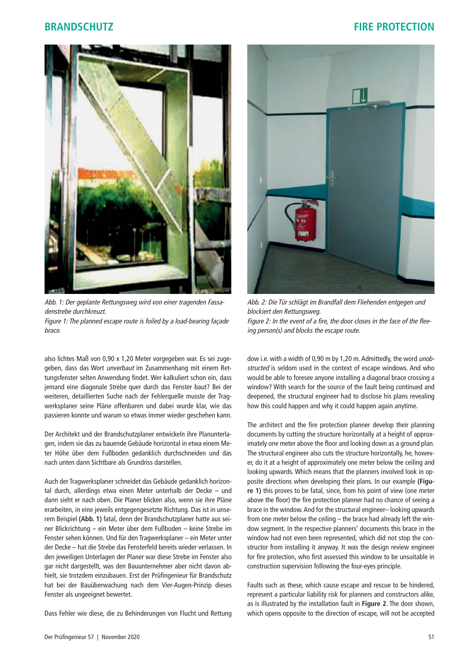

Abb. 1: Der geplante Rettungsweg wird von einer tragenden Fassadenstrebe durchkreuzt. Figure 1: The planned escape route is foiled by a load-bearing façade brace.

also lichtes Maß von 0,90 x 1,20 Meter vorgegeben war. Es sei zugegeben, dass das Wort *unverbaut* im Zusammenhang mit einem Rettungsfenster selten Anwendung findet. Wer kalkuliert schon ein, dass jemand eine diagonale Strebe quer durch das Fenster baut? Bei der weiteren, detaillierten Suche nach der Fehlerquelle musste der Tragwerksplaner seine Pläne offenbaren und dabei wurde klar, wie das passieren konnte und warum so etwas immer wieder geschehen kann.

Der Architekt und der Brandschutzplaner entwickeln ihre Planunterlagen, indem sie das zu bauende Gebäude horizontal in etwa einem Meter Höhe über dem Fußboden gedanklich durchschneiden und das nach unten dann Sichtbare als Grundriss darstellen.

Auch der Tragwerksplaner schneidet das Gebäude gedanklich horizontal durch, allerdings etwa einen Meter unterhalb der Decke – und dann sieht er nach oben. Die Planer blicken also, wenn sie ihre Pläne erarbeiten, in eine jeweils entgegengesetzte Richtung. Das ist in unserem Beispiel **(Abb. 1)** fatal, denn der Brandschutzplaner hatte aus seiner Blickrichtung – ein Meter über dem Fußboden – keine Strebe im Fenster sehen können. Und für den Tragwerksplaner – ein Meter unter der Decke – hat die Strebe das Fensterfeld bereits wieder verlassen. In den jeweiligen Unterlagen der Planer war diese Strebe im Fenster also gar nicht dargestellt, was den Bauunternehmer aber nicht davon abhielt, sie trotzdem einzubauen. Erst der Prüfingenieur für Brandschutz hat bei der Bauüberwachung nach dem Vier-Augen-Prinzip dieses Fenster als ungeeignet bewertet.

Dass Fehler wie diese, die zu Behinderungen von Flucht und Rettung



Abb. 2: Die Tür schlägt im Brandfall dem Fliehenden entgegen und blockiert den Rettungsweg. Figure 2: In the event of a fire, the door closes in the face of the fleeing person(s) and blocks the escape route.

dow i.e. with a width of 0,90 m by 1,20 m. Admittedly, the word unobstructed is seldom used in the context of escape windows. And who would be able to foresee anyone installing a diagonal brace crossing a window? With search for the source of the fault being continued and deepened, the structural engineer had to disclose his plans revealing how this could happen and why it could happen again anytime.

The architect and the fire protection planner develop their planning documents by cutting the structure horizontally at a height of approximately one meter above the floor and looking down as a ground plan. The structural engineer also cuts the structure horizontally, he, however, do it at a height of approximately one meter below the ceiling and looking upwards. Which means that the planners involved look in opposite directions when developing their plans. In our example **(Figure 1)** this proves to be fatal, since, from his point of view (one meter above the floor) the fire protection planner had no chance of seeing a brace in the window. And for the structural engineer– looking upwards from one meter below the ceiling – the brace had already left the window segment. In the respective planners' documents this brace in the window had not even been represented, which did not stop the constructor from installing it anyway. It was the design review engineer for fire protection, who first assessed this window to be unsuitable in construction supervision following the four-eyes principle.

Faults such as these, which cause escape and rescue to be hindered, represent a particular liability risk for planners and constructors alike, as is illustrated by the installation fault in **Figure 2**. The door shown, which opens opposite to the direction of escape, will not be accepted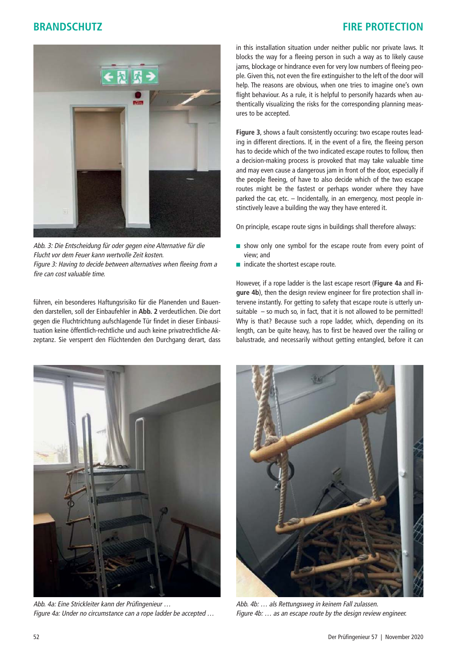

Abb. 3: Die Entscheidung für oder gegen eine Alternative für die Flucht vor dem Feuer kann wertvolle Zeit kosten. Figure 3: Having to decide between alternatives when fleeing from a fire can cost valuable time.

führen, ein besonderes Haftungsrisiko für die Planenden und Bauenden darstellen, soll der Einbaufehler in **Abb. 2** verdeutlichen. Die dort gegen die Fluchtrichtung aufschlagende Tür findet in dieser Einbausituation keine öffentlich-rechtliche und auch keine privatrechtliche Akzeptanz. Sie versperrt den Flüchtenden den Durchgang derart, dass in this installation situation under neither public nor private laws. It blocks the way for a fleeing person in such a way as to likely cause jams, blockage or hindrance even for very low numbers of fleeing people. Given this, not even the fire extinguisher to the left of the door will help. The reasons are obvious, when one tries to imagine one's own flight behaviour. As a rule, it is helpful to personify hazards when authentically visualizing the risks for the corresponding planning measures to be accepted.

**Figure 3**, shows a fault consistently occuring: two escape routes leading in different directions. If, in the event of a fire, the fleeing person has to decide which of the two indicated escape routes to follow, then a decision-making process is provoked that may take valuable time and may even cause a dangerous jam in front of the door, especially if the people fleeing, of have to also decide which of the two escape routes might be the fastest or perhaps wonder where they have parked the car, etc. – Incidentally, in an emergency, most people instinctively leave a building the way they have entered it.

On principle, escape route signs in buildings shall therefore always:

- show only one symbol for the escape route from every point of view; and
- indicate the shortest escape route.

However, if a rope ladder is the last escape resort (**Figure 4a** and **Figure 4b**), then the design review engineer for fire protection shall intervene instantly. For getting to safety that escape route is utterly unsuitable  $-$  so much so, in fact, that it is not allowed to be permitted! Why is that? Because such a rope ladder, which, depending on its length, can be quite heavy, has to first be heaved over the railing or balustrade, and necessarily without getting entangled, before it can



Abb. 4a: Eine Strickleiter kann der Prüfingenieur … Figure 4a: Under no circumstance can a rope ladder be accepted …



Abb. 4b: … als Rettungsweg in keinem Fall zulassen. Figure 4b: … as an escape route by the design review engineer.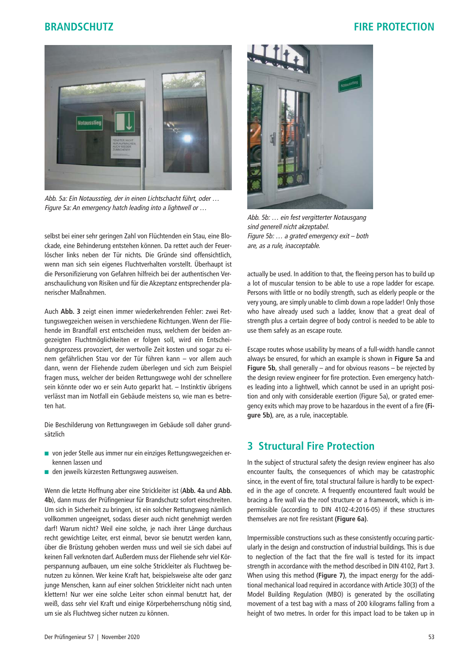

Abb. 5a: Ein Notausstieg, der in einen Lichtschacht führt, oder … Figure 5a: An emergency hatch leading into a lightwell or …

selbst bei einer sehr geringen Zahl von Flüchtenden ein Stau, eine Blockade, eine Behinderung entstehen können. Da rettet auch der Feuerlöscher links neben der Tür nichts. Die Gründe sind offensichtlich, wenn man sich sein eigenes Fluchtverhalten vorstellt. Überhaupt ist die Personifizierung von Gefahren hilfreich bei der authentischen Veranschaulichung von Risiken und für die Akzeptanz entsprechender planerischer Maßnahmen.

Auch **Abb. 3** zeigt einen immer wiederkehrenden Fehler: zwei Rettungswegzeichen weisen in verschiedene Richtungen. Wenn der Fliehende im Brandfall erst entscheiden muss, welchem der beiden angezeigten Fluchtmöglichkeiten er folgen soll, wird ein Entscheidungsprozess provoziert, der wertvolle Zeit kosten und sogar zu einem gefährlichen Stau vor der Tür führen kann – vor allem auch dann, wenn der Fliehende zudem überlegen und sich zum Beispiel fragen muss, welcher der beiden Rettungswege wohl der schnellere sein könnte oder wo er sein Auto geparkt hat. – Instinktiv übrigens verlässt man im Notfall ein Gebäude meistens so, wie man es betreten hat.

Die Beschilderung von Rettungswegen im Gebäude soll daher grundsätzlich

- von jeder Stelle aus immer nur ein einziges Rettungswegzeichen erkennen lassen und
- den jeweils kürzesten Rettungsweg ausweisen.

Wenn die letzte Hoffnung aber eine Strickleiter ist (**Abb. 4a** und **Abb. 4b**), dann muss der Prüfingenieur für Brandschutz sofort einschreiten. Um sich in Sicherheit zu bringen, ist ein solcher Rettungsweg nämlich vollkommen ungeeignet, sodass dieser auch nicht genehmigt werden darf! Warum nicht? Weil eine solche, je nach ihrer Länge durchaus recht gewichtige Leiter, erst einmal, bevor sie benutzt werden kann, über die Brüstung gehoben werden muss und weil sie sich dabei auf keinen Fall verknoten darf. Außerdem muss der Fliehende sehr viel Körperspannung aufbauen, um eine solche Strickleiter als Fluchtweg benutzen zu können. Wer keine Kraft hat, beispielsweise alte oder ganz junge Menschen, kann auf einer solchen Strickleiter nicht nach unten klettern! Nur wer eine solche Leiter schon einmal benutzt hat, der weiß, dass sehr viel Kraft und einige Körperbeherrschung nötig sind, um sie als Fluchtweg sicher nutzen zu können.



Abb. 5b: … ein fest vergitterter Notausgang sind generell nicht akzeptabel. Figure 5b: … a grated emergency exit – both are, as a rule, inacceptable.

actually be used. In addition to that, the fleeing person has to build up a lot of muscular tension to be able to use a rope ladder for escape. Persons with little or no bodily strength, such as elderly people or the very young, are simply unable to climb down a rope ladder! Only those who have already used such a ladder, know that a great deal of strength plus a certain degree of body control is needed to be able to use them safely as an escape route.

Escape routes whose usability by means of a full-width handle cannot always be ensured, for which an example is shown in **Figure 5a** and **Figure 5b**, shall generally – and for obvious reasons – be rejected by the design review engineer for fire protection. Even emergency hatches leading into a lightwell, which cannot be used in an upright position and only with considerable exertion (Figure 5a), or grated emergency exits which may prove to be hazardous in the event of a fire **(Figure 5b)**, are, as a rule, inacceptable.

# **3 Structural Fire Protection**

In the subject of structural safety the design review engineer has also encounter faults, the consequences of which may be catastrophic since, in the event of fire, total structural failure is hardly to be expected in the age of concrete. A frequently encountered fault would be bracing a fire wall via the roof structure or a framework, which is impermissible (according to DIN 4102-4:2016-05) if these structures themselves are not fire resistant **(Figure 6a)**.

Impermissible constructions such as these consistently occuring particularly in the design and construction of industrial buildings. This is due to neglection of the fact that the fire wall is tested for its impact strength in accordance with the method described in DIN 4102, Part 3. When using this method **(Figure 7)**, the impact energy for the additional mechanical load required in accordance with Article 30(3) of the Model Building Regulation (MBO) is generated by the oscillating movement of a test bag with a mass of 200 kilograms falling from a height of two metres. In order for this impact load to be taken up in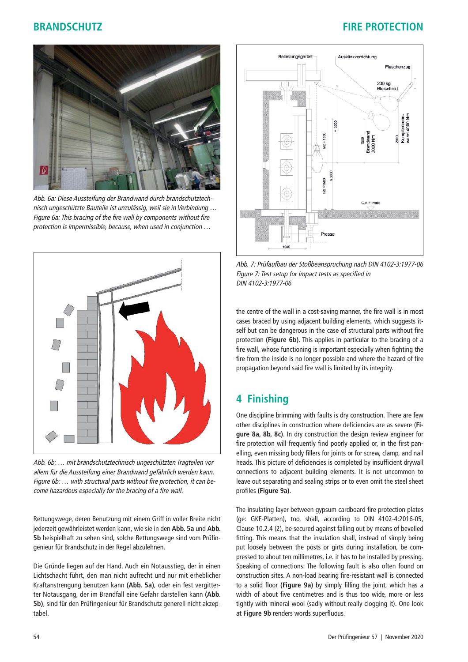

Abb. 6a: Diese Aussteifung der Brandwand durch brandschutztechnisch ungeschützte Bauteile ist unzulässig, weil sie in Verbindung … Figure 6a: This bracing of the fire wall by components without fire protection is impermissible, because, when used in conjunction …



Abb. 6b: … mit brandschutztechnisch ungeschützten Tragteilen vor allem für die Aussteifung einer Brandwand gefährlich werden kann. Figure 6b: … with structural parts without fire protection, it can become hazardous especially for the bracing of a fire wall.

Rettungswege, deren Benutzung mit einem Griff in voller Breite nicht jederzeit gewährleistet werden kann, wie sie in den **Abb. 5a** und **Abb. 5b** beispielhaft zu sehen sind, solche Rettungswege sind vom Prüfingenieur für Brandschutz in der Regel abzulehnen.

Die Gründe liegen auf der Hand. Auch ein Notausstieg, der in einen Lichtschacht führt, den man nicht aufrecht und nur mit erheblicher Kraftanstrengung benutzen kann **(Abb. 5a)**, oder ein fest vergitterter Notausgang, der im Brandfall eine Gefahr darstellen kann **(Abb. 5b)**, sind für den Prüfingenieur für Brandschutz generell nicht akzeptabel.



Abb. 7: Prüfaufbau der Stoßbeanspruchung nach DIN 4102-3:1977-06 Figure 7: Test setup for impact tests as specified in DIN 4102-3:1977-06

the centre of the wall in a cost-saving manner, the fire wall is in most cases braced by using adjacent building elements, which suggests itself but can be dangerous in the case of structural parts without fire protection **(Figure 6b)**. This applies in particular to the bracing of a fire wall, whose functioning is important especially when fighting the fire from the inside is no longer possible and where the hazard of fire propagation beyond said fire wall is limited by its integrity.

# **4 Finishing**

One discipline brimming with faults is dry construction. There are few other disciplines in construction where deficiencies are as severe (**Figure 8a, 8b, 8c)**. In dry construction the design review engineer for fire protection will frequently find poorly applied or, in the first panelling, even missing body fillers for joints or for screw, clamp, and nail heads. This picture of deficiencies is completed by insufficient drywall connections to adjacent building elements. It is not uncommon to leave out separating and sealing strips or to even omit the steel sheet profiles **(Figure 9a)**.

The insulating layer between gypsum cardboard fire protection plates (ge: GKF-Platten), too, shall, according to DIN 4102-4:2016-05, Clause 10.2.4 (2), be secured against falling out by means of bevelled fitting. This means that the insulation shall, instead of simply being put loosely between the posts or girts during installation, be compressed to about ten millimetres, i.e. it has to be installed by pressing. Speaking of connections: The following fault is also often found on construction sites. A non-load bearing fire-resistant wall is connected to a solid floor **(Figure 9a)** by simply filling the joint, which has a width of about five centimetres and is thus too wide, more or less tightly with mineral wool (sadly without really clogging it). One look at **Figure 9b** renders words superfluous.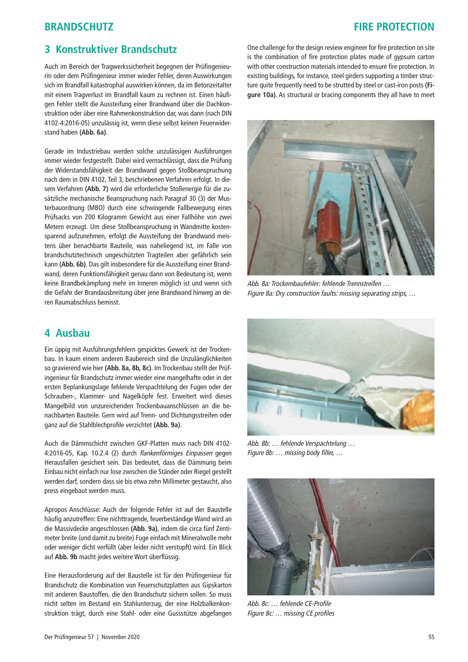# **3 Konstruktiver Brandschutz**

Auch im Bereich der Tragwerkssicherheit begegnen der Prüfingenieurin oder dem Prüfingenieur immer wieder Fehler, deren Auswirkungen sich im Brandfall katastrophal auswirken können, da im Betonzeitalter mit einem Tragverlust im Brandfall kaum zu rechnen ist. Einen häufigen Fehler stellt die Aussteifung einer Brandwand über die Dachkonstruktion oder über eine Rahmenkonstruktion dar, was dann (nach DIN 4102-4:2016-05) unzulässig ist, wenn diese selbst keinen Feuerwiderstand haben **(Abb. 6a)**.

Gerade im Industriebau werden solche unzulässigen Ausführungen immer wieder festgestellt. Dabei wird vernachlässigt, dass die Prüfung der Widerstandsfähigkeit der Brandwand gegen Stoßbeanspruchung nach dem in DIN 4102, Teil 3, beschriebenen Verfahren erfolgt. In diesem Verfahren **(Abb. 7)** wird die erforderliche Stoßenergie für die zusätzliche mechanische Beanspruchung nach Paragraf 30 (3) der Musterbauordnung (MBO) durch eine schwingende Fallbewegung eines Prüfsacks von 200 Kilogramm Gewicht aus einer Fallhöhe von zwei Metern erzeugt. Um diese Stoßbeanspruchung in Wandmitte kostensparend aufzunehmen, erfolgt die Aussteifung der Brandwand meistens über benachbarte Bauteile, was naheliegend ist, im Falle von brandschutztechnisch ungeschützten Tragteilen aber gefährlich sein kann **(Abb. 6b)**. Das gilt insbesondere für die Aussteifung einer Brandwand, deren Funktionsfähigkeit genau dann von Bedeutung ist, wenn keine Brandbekämpfung mehr im Inneren möglich ist und wenn sich die Gefahr der Brandausbreitung über jene Brandwand hinweg an deren Raumabschluss bemisst.

#### **4 Ausbau**

Ein üppig mit Ausführungsfehlern gespicktes Gewerk ist der Trockenbau. In kaum einem anderen Baubereich sind die Unzulänglichkeiten so gravierend wie hier **(Abb. 8a, 8b, 8c)**. Im Trockenbau stellt der Prüfingenieur für Brandschutz immer wieder eine mangelhafte oder in der ersten Beplankungslage fehlende Verspachtelung der Fugen oder der Schrauben-, Klammer- und Nagelköpfe fest. Erweitert wird dieses Mangelbild von unzureichenden Trockenbauanschlüssen an die benachbarten Bauteile. Gern wird auf Trenn- und Dichtungsstreifen oder ganz auf die Stahlblechprofile verzichtet **(Abb. 9a)**.

Auch die Dämmschicht zwischen GKF-Platten muss nach DIN 4102- 4:2016-05, Kap. 10.2.4 (2) durch flankenförmiges Einpassen gegen Herausfallen gesichert sein. Das bedeutet, dass die Dämmung beim Einbau nicht einfach nur lose zwischen die Ständer oder Riegel gestellt werden darf, sondern dass sie bis etwa zehn Millimeter gestaucht, also press eingebaut werden muss.

Apropos Anschlüsse: Auch der folgende Fehler ist auf der Baustelle häufig anzutreffen: Eine nichttragende, feuerbeständige Wand wird an die Massivdecke angeschlossen **(Abb. 9a)**, indem die circa fünf Zentimeter breite (und damit zu breite) Fuge einfach mit Mineralwolle mehr oder weniger dicht verfüllt (aber leider nicht verstopft) wird. Ein Blick auf **Abb. 9b** macht jedes weitere Wort überflüssig.

Eine Herausforderung auf der Baustelle ist für den Prüfingenieur für Brandschutz die Kombination von Feuerschutzplatten aus Gipskarton mit anderen Baustoffen, die den Brandschutz sichern sollen. So muss nicht selten im Bestand ein Stahlunterzug, der eine Holzbalkenkonstruktion trägt, durch eine Stahl- oder eine Gussstütze abgefangen

One challenge for the design review engineer for fire protection on site is the combination of fire protection plates made of gypsum carton with other construction materials intended to ensure fire protection. In existing buildings, for instance, steel girders supporting a timber structure quite frequently need to be strutted by steel or cast-iron posts **(Figure 10a)**. As structural or bracing components they all have to meet



Abb. 8a: Trockembaufehler: fehlende Trennstreifen … Figure 8a: Dry construction faults: missing separating strips, …



Abb. 8b: … fehlende Verspachtelung … Figure 8b: … missing body filler, …



Abb. 8c: … fehlende CE-Profile Figure 8c: … missing CE profiles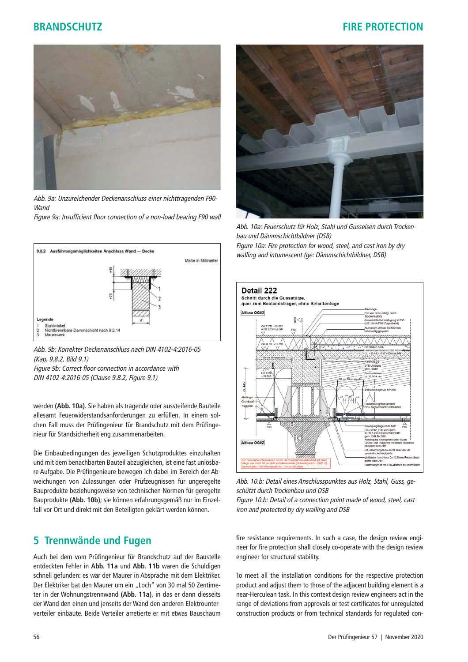

Abb. 9a: Unzureichender Deckenanschluss einer nichttragenden F90- **Wand** 

Figure 9a: Insufficient floor connection of a non-load bearing F90 wall





Figure 9b: Correct floor connection in accordance with DIN 4102-4:2016-05 (Clause 9.8.2, Figure 9.1)

werden **(Abb. 10a)**. Sie haben als tragende oder aussteifende Bauteile allesamt Feuerwiderstandsanforderungen zu erfüllen. In einem solchen Fall muss der Prüfingenieur für Brandschutz mit dem Prüfingenieur für Standsicherheit eng zusammenarbeiten.

Die Einbaubedingungen des jeweiligen Schutzproduktes einzuhalten und mit dem benachbarten Bauteil abzugleichen, ist eine fast unlösbare Aufgabe. Die Prüfingenieure bewegen ich dabei im Bereich der Abweichungen von Zulassungen oder Prüfzeugnissen für ungeregelte Bauprodukte beziehungsweise von technischen Normen für geregelte Bauprodukte **(Abb. 10b)**; sie können erfahrungsgemäß nur im Einzelfall vor Ort und direkt mit den Beteiligten geklärt werden können.

### **5 Trennwände und Fugen**

Auch bei dem vom Prüfingenieur für Brandschutz auf der Baustelle entdeckten Fehler in **Abb. 11a** und **Abb. 11b** waren die Schuldigen schnell gefunden: es war der Maurer in Absprache mit dem Elektriker. Der Elektriker bat den Maurer um ein "Loch" von 30 mal 50 Zentimeter in der Wohnungstrennwand **(Abb. 11a)**, in das er dann diesseits der Wand den einen und jenseits der Wand den anderen Elektrounterverteiler einbaute. Beide Verteiler arretierte er mit etwas Bauschaum



Abb. 10a: Feuerschutz für Holz, Stahl und Gusseisen durch Trockenbau und Dämmschichtbildner (DSB) Figure 10a: Fire protection for wood, steel, and cast iron by dry walling and intumescent (ge: Dämmschichtbildner, DSB)



Abb. 10.b: Detail eines Anschlusspunktes aus Holz, Stahl, Guss, geschützt durch Trockenbau und DSB Figure 10.b: Detail of a connection point made of wood, steel, cast

iron and protected by dry walling and DSB

fire resistance requirements. In such a case, the design review engineer for fire protection shall closely co-operate with the design review engineer for structural stability.

To meet all the installation conditions for the respective protection product and adjust them to those of the adjacent building element is a near-Herculean task. In this context design review engineers act in the range of deviations from approvals or test certificates for unregulated construction products or from technical standards for regulated con-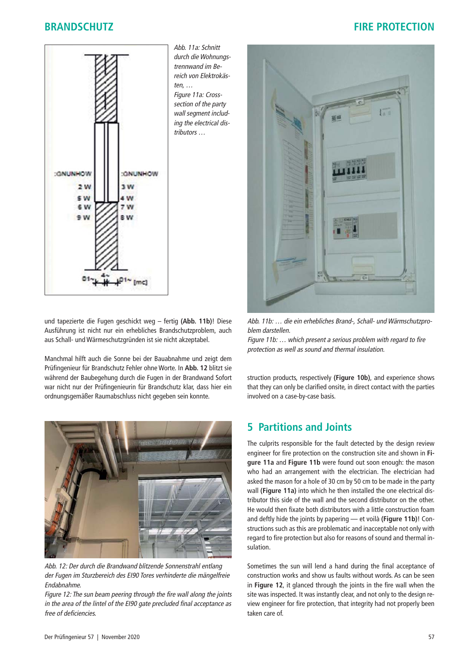

Abb. 11a: Schnitt durch die Wohnungstrennwand im Bereich von Elektrokästen, … Figure 11a: Cross-

section of the party wall segment including the electrical distributors …



Manchmal hilft auch die Sonne bei der Bauabnahme und zeigt dem Prüfingenieur für Brandschutz Fehler ohne Worte. In **Abb. 12** blitzt sie während der Baubegehung durch die Fugen in der Brandwand Sofort war nicht nur der Prüfingenieurin für Brandschutz klar, dass hier ein ordnungsgemäßer Raumabschluss nicht gegeben sein konnte.



Abb. 12: Der durch die Brandwand blitzende Sonnenstrahl entlang der Fugen im Sturzbereich des EI90 Tores verhinderte die mängelfreie Endabnahme.

Figure 12: The sun beam peering through the fire wall along the joints in the area of the lintel of the EI90 gate precluded final acceptance as free of deficiencies.



Abb. 11b: … die ein erhebliches Brand-, Schall- und Wärmschutzproblem darstellen.

Figure 11b: … which present a serious problem with regard to fire protection as well as sound and thermal insulation.

struction products, respectively **(Figure 10b)**, and experience shows that they can only be clarified onsite, in direct contact with the parties involved on a case-by-case basis.

# **5 Partitions and Joints**

The culprits responsible for the fault detected by the design review engineer for fire protection on the construction site and shown in **Figure 11a** and **Figure 11b** were found out soon enough: the mason who had an arrangement with the electrician. The electrician had asked the mason for a hole of 30 cm by 50 cm to be made in the party wall **(Figure 11a)** into which he then installed the one electrical distributor this side of the wall and the second distributor on the other. He would then fixate both distributors with a little construction foam and deftly hide the joints by papering — et voilà **(Figure 11b)**! Constructions such as this are problematic and inacceptable not only with regard to fire protection but also for reasons of sound and thermal insulation.

Sometimes the sun will lend a hand during the final acceptance of construction works and show us faults without words. As can be seen in **Figure 12**, it glanced through the joints in the fire wall when the site was inspected. It was instantly clear, and not only to the design review engineer for fire protection, that integrity had not properly been taken care of.

# **BRANDSCHUTZ FIRE PROTECTION**